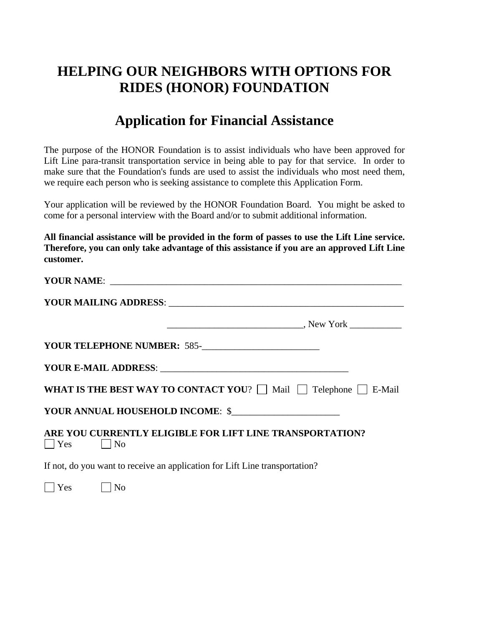## **HELPING OUR NEIGHBORS WITH OPTIONS FOR RIDES (HONOR) FOUNDATION**

## **Application for Financial Assistance**

The purpose of the HONOR Foundation is to assist individuals who have been approved for Lift Line para-transit transportation service in being able to pay for that service. In order to make sure that the Foundation's funds are used to assist the individuals who most need them, we require each person who is seeking assistance to complete this Application Form.

Your application will be reviewed by the HONOR Foundation Board. You might be asked to come for a personal interview with the Board and/or to submit additional information.

**All financial assistance will be provided in the form of passes to use the Lift Line service. Therefore, you can only take advantage of this assistance if you are an approved Lift Line customer.** 

| YOUR TELEPHONE NUMBER: 585-<br><u> </u>                                                |
|----------------------------------------------------------------------------------------|
|                                                                                        |
| <b>WHAT IS THE BEST WAY TO CONTACT YOU?</b> $\Box$ Mail $\Box$ Telephone $\Box$ E-Mail |
| YOUR ANNUAL HOUSEHOLD INCOME: \$                                                       |
| ARE YOU CURRENTLY ELIGIBLE FOR LIFT LINE TRANSPORTATION?<br>$\bigcap$ Yes $\bigcap$ No |
| If not, do you want to receive an application for Lift Line transportation?            |

 $\bigcap$  Yes  $\bigcap$  No